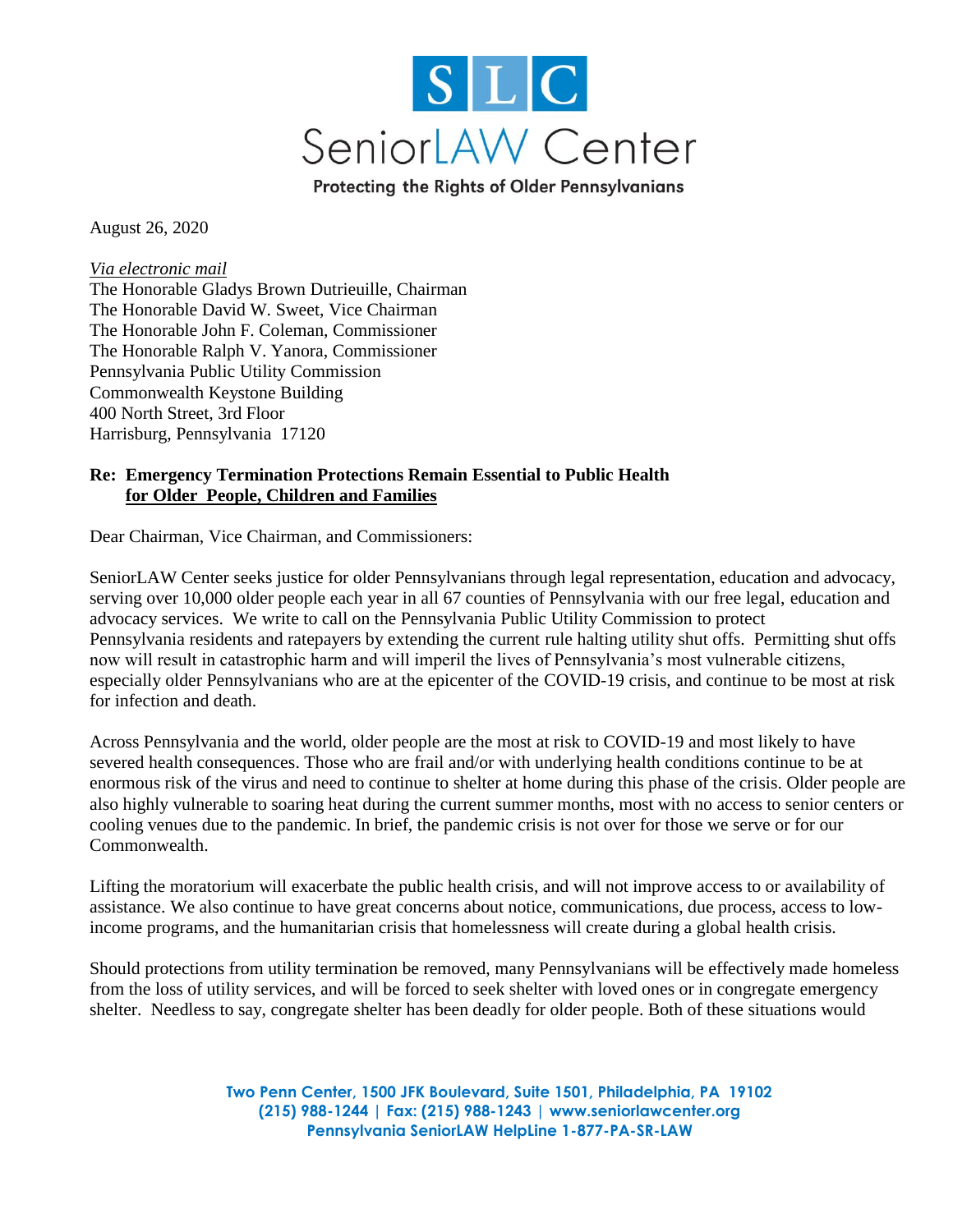

Protecting the Rights of Older Pennsylvanians

August 26, 2020

*Via electronic mail* The Honorable Gladys Brown Dutrieuille, Chairman The Honorable David W. Sweet, Vice Chairman The Honorable John F. Coleman, Commissioner The Honorable Ralph V. Yanora, Commissioner Pennsylvania Public Utility Commission Commonwealth Keystone Building 400 North Street, 3rd Floor Harrisburg, Pennsylvania 17120

## **Re: Emergency Termination Protections Remain Essential to Public Health for Older People, Children and Families**

Dear Chairman, Vice Chairman, and Commissioners:

SeniorLAW Center seeks justice for older Pennsylvanians through legal representation, education and advocacy, serving over 10,000 older people each year in all 67 counties of Pennsylvania with our free legal, education and advocacy services. We write to call on the Pennsylvania Public Utility Commission to protect Pennsylvania residents and ratepayers by extending the current rule halting utility shut offs. Permitting shut offs now will result in catastrophic harm and will imperil the lives of Pennsylvania's most vulnerable citizens, especially older Pennsylvanians who are at the epicenter of the COVID-19 crisis, and continue to be most at risk for infection and death.

Across Pennsylvania and the world, older people are the most at risk to COVID-19 and most likely to have severed health consequences. Those who are frail and/or with underlying health conditions continue to be at enormous risk of the virus and need to continue to shelter at home during this phase of the crisis. Older people are also highly vulnerable to soaring heat during the current summer months, most with no access to senior centers or cooling venues due to the pandemic. In brief, the pandemic crisis is not over for those we serve or for our Commonwealth.

Lifting the moratorium will exacerbate the public health crisis, and will not improve access to or availability of assistance. We also continue to have great concerns about notice, communications, due process, access to lowincome programs, and the humanitarian crisis that homelessness will create during a global health crisis.

Should protections from utility termination be removed, many Pennsylvanians will be effectively made homeless from the loss of utility services, and will be forced to seek shelter with loved ones or in congregate emergency shelter. Needless to say, congregate shelter has been deadly for older people. Both of these situations would

> **Two Penn Center, 1500 JFK Boulevard, Suite 1501, Philadelphia, PA 19102 (215) 988-1244 | Fax: (215) 988-1243 | www.seniorlawcenter.org Pennsylvania SeniorLAW HelpLine 1-877-PA-SR-LAW**